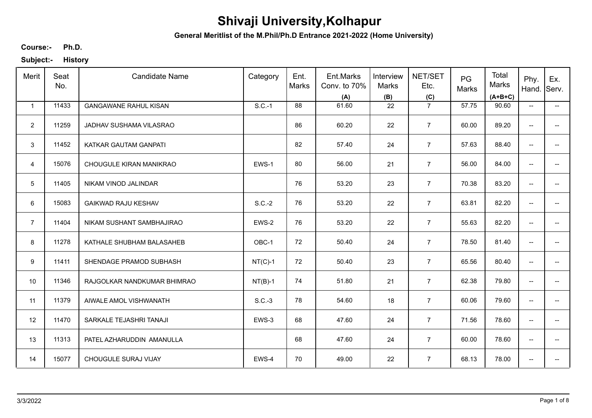**General Meritlist of the M.Phil/Ph.D Entrance 2021-2022 (Home University)**

**Ph.D. Course:-**

| Merit          | Seat<br>No. | <b>Candidate Name</b>        | Category  | Ent.<br>Marks | Ent.Marks<br>Conv. to 70%<br>(A) | Interview<br>Marks<br>(B) | <b>NET/SET</b><br>Etc.<br>(C) | PG<br>Marks | Total<br>Marks<br>$(A+B+C)$ | Phy.<br>Hand.                       | Ex.<br>Serv.                           |
|----------------|-------------|------------------------------|-----------|---------------|----------------------------------|---------------------------|-------------------------------|-------------|-----------------------------|-------------------------------------|----------------------------------------|
| 1              | 11433       | <b>GANGAWANE RAHUL KISAN</b> | $S.C.-1$  | 88            | 61.60                            | 22                        | $\overline{7}$                | 57.75       | 90.60                       | $\overline{\phantom{a}}$            | $\overline{\phantom{a}}$               |
| $\overline{2}$ | 11259       | JADHAV SUSHAMA VILASRAO      |           | 86            | 60.20                            | 22                        | $\overline{7}$                | 60.00       | 89.20                       | $\overline{\phantom{a}}$            | −−                                     |
| 3              | 11452       | KATKAR GAUTAM GANPATI        |           | 82            | 57.40                            | 24                        | $\overline{7}$                | 57.63       | 88.40                       | $\overline{\phantom{a}}$            | $\overline{\phantom{a}}$               |
| $\overline{4}$ | 15076       | CHOUGULE KIRAN MANIKRAO      | EWS-1     | 80            | 56.00                            | 21                        | $\overline{7}$                | 56.00       | 84.00                       | $\overline{\phantom{a}}$            | $\hspace{0.05cm} \rule{0.5cm}{0.15cm}$ |
| 5              | 11405       | NIKAM VINOD JALINDAR         |           | 76            | 53.20                            | 23                        | $\overline{7}$                | 70.38       | 83.20                       | $\overline{\phantom{a}}$            | $\overline{\phantom{a}}$               |
| 6              | 15083       | <b>GAIKWAD RAJU KESHAV</b>   | $S.C.-2$  | 76            | 53.20                            | 22                        | $\overline{7}$                | 63.81       | 82.20                       | $\overline{\phantom{a}}$            | $\overline{\phantom{a}}$               |
| $\overline{7}$ | 11404       | NIKAM SUSHANT SAMBHAJIRAO    | EWS-2     | 76            | 53.20                            | 22                        | $\overline{7}$                | 55.63       | 82.20                       | $\overline{\phantom{a}}$            | $\hspace{0.05cm} \rule{0.5cm}{0.15cm}$ |
| 8              | 11278       | KATHALE SHUBHAM BALASAHEB    | OBC-1     | 72            | 50.40                            | 24                        | $\overline{7}$                | 78.50       | 81.40                       | $\overline{\phantom{a}}$            | $\hspace{0.05cm}$ $\hspace{0.05cm}$    |
| 9              | 11411       | SHENDAGE PRAMOD SUBHASH      | $NT(C)-1$ | 72            | 50.40                            | 23                        | $\overline{7}$                | 65.56       | 80.40                       | $\overline{\phantom{a}}$            | $\overline{\phantom{a}}$               |
| 10             | 11346       | RAJGOLKAR NANDKUMAR BHIMRAO  | $NT(B)-1$ | 74            | 51.80                            | 21                        | $\overline{7}$                | 62.38       | 79.80                       | $\overline{\phantom{a}}$            | $\overline{\phantom{a}}$               |
| 11             | 11379       | AIWALE AMOL VISHWANATH       | $S.C.-3$  | 78            | 54.60                            | 18                        | $\overline{7}$                | 60.06       | 79.60                       | $\overline{\phantom{a}}$            | $\overline{\phantom{a}}$               |
| 12             | 11470       | SARKALE TEJASHRI TANAJI      | EWS-3     | 68            | 47.60                            | 24                        | $\overline{7}$                | 71.56       | 78.60                       | $\overline{\phantom{a}}$            | $\overline{\phantom{a}}$               |
| 13             | 11313       | PATEL AZHARUDDIN AMANULLA    |           | 68            | 47.60                            | 24                        | $\overline{7}$                | 60.00       | 78.60                       | $\hspace{0.05cm}$ $\hspace{0.05cm}$ | $\hspace{0.05cm}$ $\hspace{0.05cm}$    |
| 14             | 15077       | CHOUGULE SURAJ VIJAY         | EWS-4     | 70            | 49.00                            | 22                        | $\overline{7}$                | 68.13       | 78.00                       | $\overline{\phantom{a}}$            | $\overline{\phantom{a}}$               |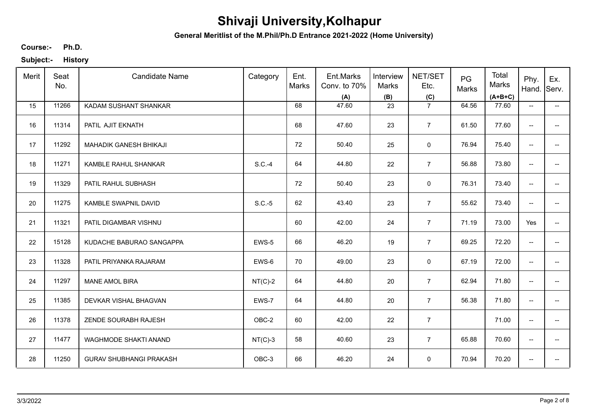**General Meritlist of the M.Phil/Ph.D Entrance 2021-2022 (Home University)**

**Ph.D. Course:-**

| Merit | Seat<br>No. | <b>Candidate Name</b>          | Category  | Ent.<br>Marks | Ent.Marks<br>Conv. to 70%<br>(A) | Interview<br>Marks<br>(B) | NET/SET<br>Etc.<br>(C) | PG<br>Marks | Total<br>Marks<br>$(A+B+C)$ | Phy.<br>Hand.                       | Ex.<br>Serv.                           |
|-------|-------------|--------------------------------|-----------|---------------|----------------------------------|---------------------------|------------------------|-------------|-----------------------------|-------------------------------------|----------------------------------------|
| 15    | 11266       | KADAM SUSHANT SHANKAR          |           | 68            | 47.60                            | 23                        | $\overline{7}$         | 64.56       | 77.60                       | $\overline{\phantom{a}}$            | $\overline{\phantom{a}}$               |
| 16    | 11314       | PATIL AJIT EKNATH              |           | 68            | 47.60                            | 23                        | $\overline{7}$         | 61.50       | 77.60                       | $\hspace{0.05cm}$ $\hspace{0.05cm}$ | $--$                                   |
| 17    | 11292       | MAHADIK GANESH BHIKAJI         |           | 72            | 50.40                            | 25                        | $\mathsf{O}\xspace$    | 76.94       | 75.40                       | $\hspace{0.05cm}$ $\hspace{0.05cm}$ | $- -$                                  |
| 18    | 11271       | KAMBLE RAHUL SHANKAR           | $S.C.-4$  | 64            | 44.80                            | 22                        | $\overline{7}$         | 56.88       | 73.80                       | $\overline{\phantom{a}}$            | $\overline{\phantom{a}}$               |
| 19    | 11329       | PATIL RAHUL SUBHASH            |           | 72            | 50.40                            | 23                        | $\mathsf 0$            | 76.31       | 73.40                       | $\overline{\phantom{a}}$            | $\overline{\phantom{a}}$               |
| 20    | 11275       | KAMBLE SWAPNIL DAVID           | $S.C.-5$  | 62            | 43.40                            | 23                        | $\overline{7}$         | 55.62       | 73.40                       | $\overline{\phantom{a}}$            | $- -$                                  |
| 21    | 11321       | PATIL DIGAMBAR VISHNU          |           | 60            | 42.00                            | 24                        | $\overline{7}$         | 71.19       | 73.00                       | Yes                                 | $\hspace{0.05cm}$ $\hspace{0.05cm}$    |
| 22    | 15128       | KUDACHE BABURAO SANGAPPA       | EWS-5     | 66            | 46.20                            | 19                        | $\overline{7}$         | 69.25       | 72.20                       | $\overline{\phantom{a}}$            | $\hspace{0.05cm}$ $\hspace{0.05cm}$    |
| 23    | 11328       | PATIL PRIYANKA RAJARAM         | EWS-6     | 70            | 49.00                            | 23                        | $\mathbf 0$            | 67.19       | 72.00                       | $\overline{\phantom{a}}$            | $\overline{\phantom{a}}$               |
| 24    | 11297       | <b>MANE AMOL BIRA</b>          | $NT(C)-2$ | 64            | 44.80                            | 20                        | $\overline{7}$         | 62.94       | 71.80                       | $\hspace{0.05cm}$ $\hspace{0.05cm}$ | $- -$                                  |
| 25    | 11385       | DEVKAR VISHAL BHAGVAN          | EWS-7     | 64            | 44.80                            | 20                        | $\overline{7}$         | 56.38       | 71.80                       | $\overline{\phantom{a}}$            | $\overline{\phantom{a}}$               |
| 26    | 11378       | ZENDE SOURABH RAJESH           | OBC-2     | 60            | 42.00                            | 22                        | $\overline{7}$         |             | 71.00                       | $\overline{\phantom{a}}$            | $\hspace{0.05cm}$ $\hspace{0.05cm}$    |
| 27    | 11477       | WAGHMODE SHAKTI ANAND          | $NT(C)-3$ | 58            | 40.60                            | 23                        | $\overline{7}$         | 65.88       | 70.60                       | $\overline{\phantom{a}}$            | $\hspace{0.05cm} \rule{0.5cm}{0.15cm}$ |
| 28    | 11250       | <b>GURAV SHUBHANGI PRAKASH</b> | OBC-3     | 66            | 46.20                            | 24                        | $\mathsf 0$            | 70.94       | 70.20                       | $\overline{\phantom{a}}$            | $\overline{\phantom{a}}$               |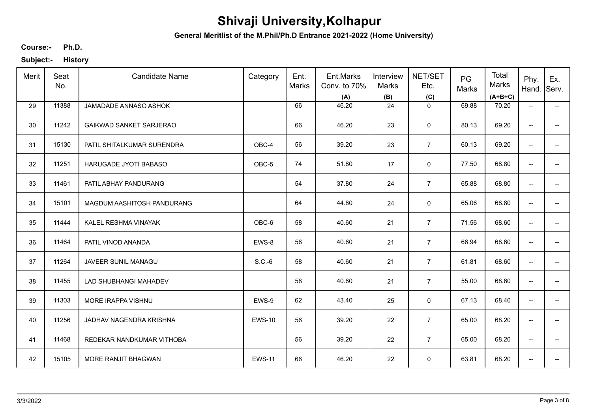**General Meritlist of the M.Phil/Ph.D Entrance 2021-2022 (Home University)**

**Ph.D. Course:-**

| Merit | Seat<br>No. | <b>Candidate Name</b>          | Category      | Ent.<br>Marks | Ent.Marks<br>Conv. to 70%<br>(A) | Interview<br>Marks<br>(B) | NET/SET<br>Etc.<br>(C) | PG<br>Marks | Total<br>Marks<br>$(A+B+C)$ | Phy.<br>Hand.            | Ex.<br>Serv.             |
|-------|-------------|--------------------------------|---------------|---------------|----------------------------------|---------------------------|------------------------|-------------|-----------------------------|--------------------------|--------------------------|
| 29    | 11388       | JAMADADE ANNASO ASHOK          |               | 66            | 46.20                            | 24                        | $\mathbf{0}$           | 69.88       | 70.20                       | $\overline{\phantom{a}}$ | $\overline{\phantom{a}}$ |
| 30    | 11242       | <b>GAIKWAD SANKET SARJERAO</b> |               | 66            | 46.20                            | 23                        | $\mathbf 0$            | 80.13       | 69.20                       | $\overline{\phantom{a}}$ | -−                       |
| 31    | 15130       | PATIL SHITALKUMAR SURENDRA     | OBC-4         | 56            | 39.20                            | 23                        | $\overline{7}$         | 60.13       | 69.20                       | $\overline{\phantom{a}}$ | $\qquad \qquad -$        |
| 32    | 11251       | <b>HARUGADE JYOTI BABASO</b>   | OBC-5         | 74            | 51.80                            | 17                        | 0                      | 77.50       | 68.80                       | $\overline{\phantom{a}}$ | $\overline{\phantom{a}}$ |
| 33    | 11461       | PATIL ABHAY PANDURANG          |               | 54            | 37.80                            | 24                        | $\overline{7}$         | 65.88       | 68.80                       | $\overline{\phantom{m}}$ | -−                       |
| 34    | 15101       | MAGDUM AASHITOSH PANDURANG     |               | 64            | 44.80                            | 24                        | 0                      | 65.06       | 68.80                       | $\overline{\phantom{m}}$ | $\overline{\phantom{a}}$ |
| 35    | 11444       | KALEL RESHMA VINAYAK           | OBC-6         | 58            | 40.60                            | 21                        | $\overline{7}$         | 71.56       | 68.60                       | $\overline{\phantom{m}}$ | -−                       |
| 36    | 11464       | PATIL VINOD ANANDA             | EWS-8         | 58            | 40.60                            | 21                        | $\overline{7}$         | 66.94       | 68.60                       | $\overline{\phantom{m}}$ | $\overline{\phantom{a}}$ |
| 37    | 11264       | JAVEER SUNIL MANAGU            | $S.C.-6$      | 58            | 40.60                            | 21                        | $\overline{7}$         | 61.81       | 68.60                       | $\overline{\phantom{a}}$ |                          |
| 38    | 11455       | LAD SHUBHANGI MAHADEV          |               | 58            | 40.60                            | 21                        | $\overline{7}$         | 55.00       | 68.60                       | $\overline{\phantom{a}}$ | --                       |
| 39    | 11303       | MORE IRAPPA VISHNU             | EWS-9         | 62            | 43.40                            | 25                        | $\mathsf 0$            | 67.13       | 68.40                       | $\overline{\phantom{a}}$ | $-$                      |
| 40    | 11256       | JADHAV NAGENDRA KRISHNA        | <b>EWS-10</b> | 56            | 39.20                            | 22                        | $\overline{7}$         | 65.00       | 68.20                       | $\overline{\phantom{a}}$ | $\overline{\phantom{a}}$ |
| 41    | 11468       | REDEKAR NANDKUMAR VITHOBA      |               | 56            | 39.20                            | 22                        | $\overline{7}$         | 65.00       | 68.20                       | $\overline{\phantom{a}}$ | $\hspace{0.05cm} \ldots$ |
| 42    | 15105       | MORE RANJIT BHAGWAN            | <b>EWS-11</b> | 66            | 46.20                            | 22                        | 0                      | 63.81       | 68.20                       | $\overline{\phantom{a}}$ | -−                       |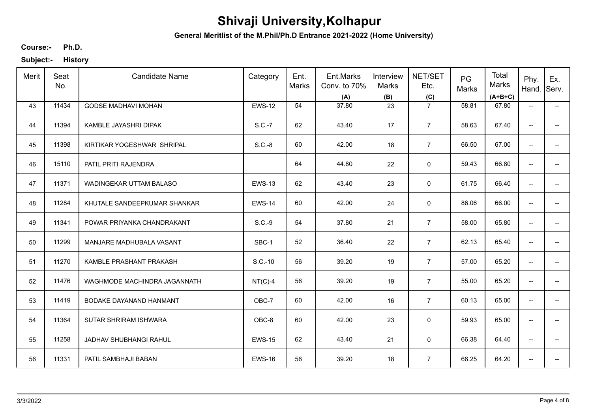**General Meritlist of the M.Phil/Ph.D Entrance 2021-2022 (Home University)**

**Ph.D. Course:-**

| Merit | Seat<br>No. | <b>Candidate Name</b>        | Category      | Ent.<br><b>Marks</b> | Ent.Marks<br>Conv. to 70%<br>(A) | Interview<br>Marks<br>(B) | NET/SET<br>Etc.<br>(C) | PG<br>Marks | Total<br>Marks<br>$(A+B+C)$ | Phy.<br>Hand.                       | Ex.<br>Serv.                           |
|-------|-------------|------------------------------|---------------|----------------------|----------------------------------|---------------------------|------------------------|-------------|-----------------------------|-------------------------------------|----------------------------------------|
| 43    | 11434       | <b>GODSE MADHAVI MOHAN</b>   | <b>EWS-12</b> | 54                   | 37.80                            | 23                        | $\overline{7}$         | 58.81       | 67.80                       | $\overline{\phantom{a}}$            | −−                                     |
| 44    | 11394       | KAMBLE JAYASHRI DIPAK        | S.C.-7        | 62                   | 43.40                            | 17                        | $\overline{7}$         | 58.63       | 67.40                       | $\overline{\phantom{a}}$            | $\overline{\phantom{a}}$               |
| 45    | 11398       | KIRTIKAR YOGESHWAR SHRIPAL   | $S.C.-8$      | 60                   | 42.00                            | 18                        | $\overline{7}$         | 66.50       | 67.00                       | $\overline{\phantom{a}}$            | $\overline{\phantom{a}}$               |
| 46    | 15110       | PATIL PRITI RAJENDRA         |               | 64                   | 44.80                            | 22                        | $\mathbf 0$            | 59.43       | 66.80                       | $\overline{\phantom{a}}$            | −−                                     |
| 47    | 11371       | WADINGEKAR UTTAM BALASO      | <b>EWS-13</b> | 62                   | 43.40                            | 23                        | 0                      | 61.75       | 66.40                       | $\overline{\phantom{a}}$            | $\overline{\phantom{a}}$               |
| 48    | 11284       | KHUTALE SANDEEPKUMAR SHANKAR | <b>EWS-14</b> | 60                   | 42.00                            | 24                        | 0                      | 86.06       | 66.00                       | $\overline{\phantom{a}}$            | −−                                     |
| 49    | 11341       | POWAR PRIYANKA CHANDRAKANT   | S.C.-9        | 54                   | 37.80                            | 21                        | $\overline{7}$         | 58.00       | 65.80                       | $\overline{\phantom{a}}$            | $\overline{\phantom{a}}$               |
| 50    | 11299       | MANJARE MADHUBALA VASANT     | SBC-1         | 52                   | 36.40                            | 22                        | $\overline{7}$         | 62.13       | 65.40                       | $\overline{\phantom{a}}$            | $\overline{\phantom{a}}$               |
| 51    | 11270       | KAMBLE PRASHANT PRAKASH      | S.C.-10       | 56                   | 39.20                            | 19                        | $\overline{7}$         | 57.00       | 65.20                       | $\overline{\phantom{a}}$            | $\hspace{0.05cm}$ – $\hspace{0.05cm}$  |
| 52    | 11476       | WAGHMODE MACHINDRA JAGANNATH | $NT(C)-4$     | 56                   | 39.20                            | 19                        | $\overline{7}$         | 55.00       | 65.20                       | $\overline{\phantom{a}}$            | $\overline{\phantom{a}}$               |
| 53    | 11419       | BODAKE DAYANAND HANMANT      | OBC-7         | 60                   | 42.00                            | 16                        | $\overline{7}$         | 60.13       | 65.00                       | $\overline{\phantom{a}}$            | $\hspace{0.05cm}$ $\hspace{0.05cm}$    |
| 54    | 11364       | SUTAR SHRIRAM ISHWARA        | OBC-8         | 60                   | 42.00                            | 23                        | $\mathbf 0$            | 59.93       | 65.00                       | $\overline{\phantom{a}}$            | $\hspace{0.05cm} \rule{0.5cm}{0.15cm}$ |
| 55    | 11258       | JADHAV SHUBHANGI RAHUL       | <b>EWS-15</b> | 62                   | 43.40                            | 21                        | 0                      | 66.38       | 64.40                       | $\overline{\phantom{a}}$            | $\hspace{0.05cm}$ $\hspace{0.05cm}$    |
| 56    | 11331       | PATIL SAMBHAJI BABAN         | <b>EWS-16</b> | 56                   | 39.20                            | 18                        | $\overline{7}$         | 66.25       | 64.20                       | $\hspace{0.05cm}$ $\hspace{0.05cm}$ | $\hspace{0.05cm}$ – $\hspace{0.05cm}$  |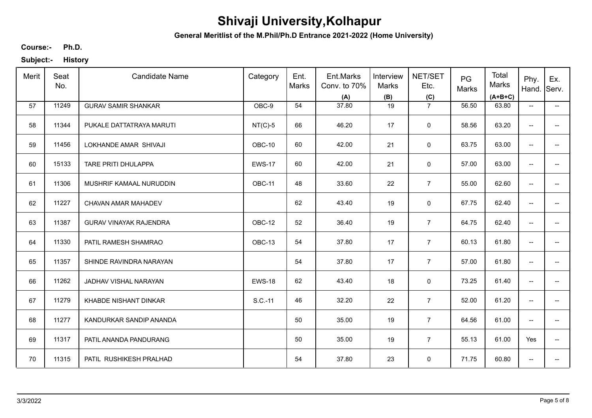**General Meritlist of the M.Phil/Ph.D Entrance 2021-2022 (Home University)**

**Ph.D. Course:-**

| Merit | Seat<br>No. | <b>Candidate Name</b>         | Category      | Ent.<br><b>Marks</b> | Ent.Marks<br>Conv. to 70%<br>(A) | Interview<br>Marks<br>(B) | NET/SET<br>Etc.<br>(C) | PG<br>Marks | Total<br>Marks<br>$(A+B+C)$ | Phy.<br>Hand.                       | Ex.<br>Serv.                           |
|-------|-------------|-------------------------------|---------------|----------------------|----------------------------------|---------------------------|------------------------|-------------|-----------------------------|-------------------------------------|----------------------------------------|
| 57    | 11249       | <b>GURAV SAMIR SHANKAR</b>    | OBC-9         | 54                   | 37.80                            | 19                        | $\overline{7}$         | 56.50       | 63.80                       | $\overline{\phantom{a}}$            | −−                                     |
| 58    | 11344       | PUKALE DATTATRAYA MARUTI      | $NT(C)-5$     | 66                   | 46.20                            | 17                        | $\mathbf 0$            | 58.56       | 63.20                       | $\hspace{0.05cm}$ $\hspace{0.05cm}$ | −−                                     |
| 59    | 11456       | LOKHANDE AMAR SHIVAJI         | OBC-10        | 60                   | 42.00                            | 21                        | $\mathbf 0$            | 63.75       | 63.00                       | $\overline{\phantom{a}}$            | $\overline{\phantom{a}}$               |
| 60    | 15133       | <b>TARE PRITI DHULAPPA</b>    | <b>EWS-17</b> | 60                   | 42.00                            | 21                        | 0                      | 57.00       | 63.00                       | $\overline{\phantom{a}}$            | −−                                     |
| 61    | 11306       | MUSHRIF KAMAAL NURUDDIN       | OBC-11        | 48                   | 33.60                            | 22                        | $\overline{7}$         | 55.00       | 62.60                       | $\overline{\phantom{a}}$            | $\overline{\phantom{a}}$               |
| 62    | 11227       | CHAVAN AMAR MAHADEV           |               | 62                   | 43.40                            | 19                        | 0                      | 67.75       | 62.40                       | $\overline{\phantom{a}}$            | $\overline{\phantom{a}}$               |
| 63    | 11387       | <b>GURAV VINAYAK RAJENDRA</b> | OBC-12        | 52                   | 36.40                            | 19                        | $\overline{7}$         | 64.75       | 62.40                       | $\overline{\phantom{a}}$            | $\overline{\phantom{a}}$               |
| 64    | 11330       | PATIL RAMESH SHAMRAO          | OBC-13        | 54                   | 37.80                            | 17                        | $\overline{7}$         | 60.13       | 61.80                       | $\overline{\phantom{a}}$            | $\overline{\phantom{a}}$               |
| 65    | 11357       | SHINDE RAVINDRA NARAYAN       |               | 54                   | 37.80                            | 17                        | $\overline{7}$         | 57.00       | 61.80                       | $\overline{\phantom{a}}$            | $\overline{\phantom{a}}$               |
| 66    | 11262       | JADHAV VISHAL NARAYAN         | <b>EWS-18</b> | 62                   | 43.40                            | 18                        | $\mathsf 0$            | 73.25       | 61.40                       | $\overline{\phantom{a}}$            | $\overline{\phantom{a}}$               |
| 67    | 11279       | KHABDE NISHANT DINKAR         | S.C.-11       | 46                   | 32.20                            | 22                        | $\overline{7}$         | 52.00       | 61.20                       | $\overline{\phantom{a}}$            | $\overline{\phantom{a}}$               |
| 68    | 11277       | KANDURKAR SANDIP ANANDA       |               | 50                   | 35.00                            | 19                        | $\overline{7}$         | 64.56       | 61.00                       | $\overline{\phantom{a}}$            | $- -$                                  |
| 69    | 11317       | PATIL ANANDA PANDURANG        |               | 50                   | 35.00                            | 19                        | $\overline{7}$         | 55.13       | 61.00                       | Yes                                 | $\hspace{0.05cm} \rule{0.5cm}{0.15cm}$ |
| 70    | 11315       | PATIL RUSHIKESH PRALHAD       |               | 54                   | 37.80                            | 23                        | $\mathbf 0$            | 71.75       | 60.80                       | $\overline{\phantom{a}}$            | $\overline{\phantom{a}}$               |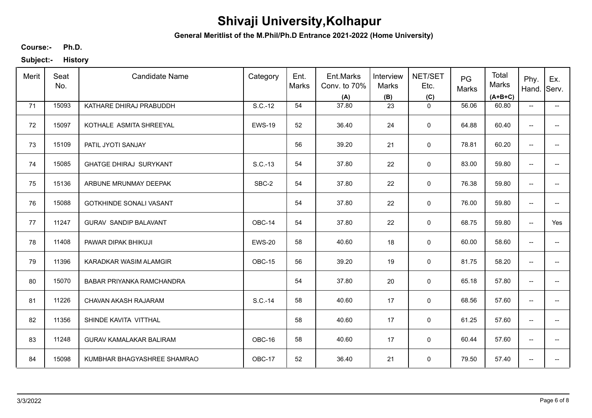**General Meritlist of the M.Phil/Ph.D Entrance 2021-2022 (Home University)**

**Ph.D. Course:-**

| Merit | Seat<br>No. | <b>Candidate Name</b>          | Category      | Ent.<br><b>Marks</b> | Ent.Marks<br>Conv. to 70%<br>(A) | Interview<br>Marks<br>(B) | NET/SET<br>Etc.<br>(C) | PG<br>Marks | Total<br>Marks<br>$(A+B+C)$ | Phy.<br>Hand.                       | Ex.<br>Serv.                          |
|-------|-------------|--------------------------------|---------------|----------------------|----------------------------------|---------------------------|------------------------|-------------|-----------------------------|-------------------------------------|---------------------------------------|
| 71    | 15093       | KATHARE DHIRAJ PRABUDDH        | S.C.-12       | 54                   | 37.80                            | 23                        | $\mathbf 0$            | 56.06       | 60.80                       | $\overline{\phantom{a}}$            | −−                                    |
| 72    | 15097       | KOTHALE ASMITA SHREEYAL        | <b>EWS-19</b> | 52                   | 36.40                            | 24                        | $\mathbf 0$            | 64.88       | 60.40                       | $\overline{\phantom{a}}$            | $\hspace{0.05cm}$ – $\hspace{0.05cm}$ |
| 73    | 15109       | PATIL JYOTI SANJAY             |               | 56                   | 39.20                            | 21                        | $\mathbf 0$            | 78.81       | 60.20                       | $\overline{\phantom{a}}$            | $\overline{\phantom{a}}$              |
| 74    | 15085       | <b>GHATGE DHIRAJ SURYKANT</b>  | S.C.-13       | 54                   | 37.80                            | 22                        | 0                      | 83.00       | 59.80                       | $\overline{\phantom{a}}$            | −−                                    |
| 75    | 15136       | ARBUNE MRUNMAY DEEPAK          | SBC-2         | 54                   | 37.80                            | 22                        | 0                      | 76.38       | 59.80                       | $\overline{\phantom{a}}$            | $\overline{\phantom{a}}$              |
| 76    | 15088       | <b>GOTKHINDE SONALI VASANT</b> |               | 54                   | 37.80                            | 22                        | 0                      | 76.00       | 59.80                       | $\overline{\phantom{a}}$            | $\overline{\phantom{a}}$              |
| 77    | 11247       | <b>GURAV SANDIP BALAVANT</b>   | OBC-14        | 54                   | 37.80                            | 22                        | $\mathbf 0$            | 68.75       | 59.80                       | $\overline{\phantom{a}}$            | Yes                                   |
| 78    | 11408       | PAWAR DIPAK BHIKUJI            | <b>EWS-20</b> | 58                   | 40.60                            | 18                        | $\mathbf 0$            | 60.00       | 58.60                       | $\overline{\phantom{a}}$            | $\overline{\phantom{a}}$              |
| 79    | 11396       | KARADKAR WASIM ALAMGIR         | OBC-15        | 56                   | 39.20                            | 19                        | 0                      | 81.75       | 58.20                       | $\overline{\phantom{a}}$            | $\overline{\phantom{a}}$              |
| 80    | 15070       | BABAR PRIYANKA RAMCHANDRA      |               | 54                   | 37.80                            | 20                        | $\mathsf 0$            | 65.18       | 57.80                       | $\overline{\phantom{a}}$            | $\overline{\phantom{a}}$              |
| 81    | 11226       | CHAVAN AKASH RAJARAM           | S.C.-14       | 58                   | 40.60                            | 17                        | $\mathsf 0$            | 68.56       | 57.60                       | $\overline{\phantom{a}}$            | $\overline{\phantom{a}}$              |
| 82    | 11356       | SHINDE KAVITA VITTHAL          |               | 58                   | 40.60                            | 17                        | $\mathsf 0$            | 61.25       | 57.60                       | $\hspace{0.05cm}$ $\hspace{0.05cm}$ | $- -$                                 |
| 83    | 11248       | <b>GURAV KAMALAKAR BALIRAM</b> | OBC-16        | 58                   | 40.60                            | 17                        | $\mathbf 0$            | 60.44       | 57.60                       | $\overline{\phantom{a}}$            | $\overline{\phantom{a}}$              |
| 84    | 15098       | KUMBHAR BHAGYASHREE SHAMRAO    | OBC-17        | 52                   | 36.40                            | 21                        | $\mathbf 0$            | 79.50       | 57.40                       | $\overline{\phantom{a}}$            | $\overline{\phantom{a}}$              |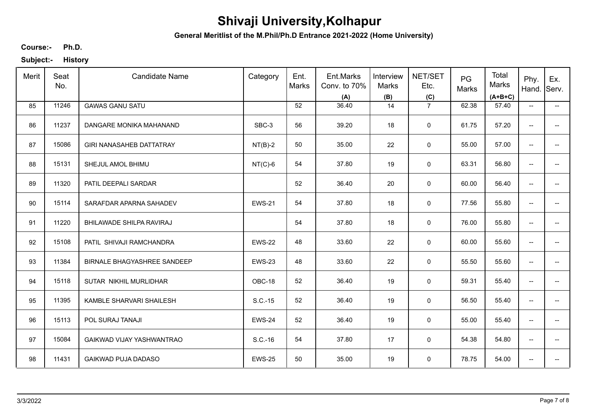**General Meritlist of the M.Phil/Ph.D Entrance 2021-2022 (Home University)**

**Ph.D. Course:-**

| Merit | Seat<br>No. | <b>Candidate Name</b>              | Category      | Ent.<br><b>Marks</b> | Ent.Marks<br>Conv. to 70%<br>(A) | Interview<br>Marks<br>(B) | NET/SET<br>Etc.<br>(C) | PG<br>Marks | Total<br>Marks<br>$(A+B+C)$ | Phy.<br>Hand.                       | Ex.<br>Serv.                           |
|-------|-------------|------------------------------------|---------------|----------------------|----------------------------------|---------------------------|------------------------|-------------|-----------------------------|-------------------------------------|----------------------------------------|
| 85    | 11246       | <b>GAWAS GANU SATU</b>             |               | 52                   | 36.40                            | 14                        | $\overline{7}$         | 62.38       | 57.40                       | $\overline{\phantom{a}}$            | −−                                     |
| 86    | 11237       | DANGARE MONIKA MAHANAND            | SBC-3         | 56                   | 39.20                            | 18                        | $\mathbf 0$            | 61.75       | 57.20                       | $\overline{\phantom{a}}$            | −−                                     |
| 87    | 15086       | <b>GIRI NANASAHEB DATTATRAY</b>    | $NT(B)-2$     | 50                   | 35.00                            | 22                        | $\mathbf 0$            | 55.00       | 57.00                       | $\overline{\phantom{a}}$            | $\overline{\phantom{a}}$               |
| 88    | 15131       | SHEJUL AMOL BHIMU                  | $NT(C)-6$     | 54                   | 37.80                            | 19                        | 0                      | 63.31       | 56.80                       | $\overline{\phantom{a}}$            | −−                                     |
| 89    | 11320       | PATIL DEEPALI SARDAR               |               | 52                   | 36.40                            | 20                        | 0                      | 60.00       | 56.40                       | $\overline{\phantom{a}}$            | $\overline{\phantom{a}}$               |
| 90    | 15114       | SARAFDAR APARNA SAHADEV            | <b>EWS-21</b> | 54                   | 37.80                            | 18                        | 0                      | 77.56       | 55.80                       | $\overline{\phantom{a}}$            | $\overline{\phantom{a}}$               |
| 91    | 11220       | BHILAWADE SHILPA RAVIRAJ           |               | 54                   | 37.80                            | 18                        | $\mathbf 0$            | 76.00       | 55.80                       | $\overline{\phantom{a}}$            | $\hspace{0.05cm} \rule{0.5cm}{0.15cm}$ |
| 92    | 15108       | PATIL SHIVAJI RAMCHANDRA           | <b>EWS-22</b> | 48                   | 33.60                            | 22                        | $\mathbf 0$            | 60.00       | 55.60                       | $\overline{\phantom{a}}$            | $\overline{\phantom{a}}$               |
| 93    | 11384       | <b>BIRNALE BHAGYASHREE SANDEEP</b> | <b>EWS-23</b> | 48                   | 33.60                            | 22                        | $\mathbf 0$            | 55.50       | 55.60                       | $\overline{\phantom{a}}$            | $\overline{\phantom{a}}$               |
| 94    | 15118       | SUTAR NIKHIL MURLIDHAR             | OBC-18        | 52                   | 36.40                            | 19                        | $\mathsf 0$            | 59.31       | 55.40                       | $\overline{\phantom{a}}$            | $\overline{\phantom{a}}$               |
| 95    | 11395       | KAMBLE SHARVARI SHAILESH           | S.C.-15       | 52                   | 36.40                            | 19                        | $\mathsf 0$            | 56.50       | 55.40                       | $\overline{\phantom{a}}$            | $\overline{\phantom{a}}$               |
| 96    | 15113       | POL SURAJ TANAJI                   | <b>EWS-24</b> | 52                   | 36.40                            | 19                        | $\mathsf 0$            | 55.00       | 55.40                       | $\hspace{0.05cm}$ $\hspace{0.05cm}$ | $\overline{\phantom{a}}$               |
| 97    | 15084       | GAIKWAD VIJAY YASHWANTRAO          | S.C.-16       | 54                   | 37.80                            | 17                        | $\mathbf 0$            | 54.38       | 54.80                       | $\overline{\phantom{a}}$            | $\overline{\phantom{a}}$               |
| 98    | 11431       | <b>GAIKWAD PUJA DADASO</b>         | <b>EWS-25</b> | 50                   | 35.00                            | 19                        | $\mathbf 0$            | 78.75       | 54.00                       | $\overline{\phantom{a}}$            | $\overline{\phantom{a}}$               |